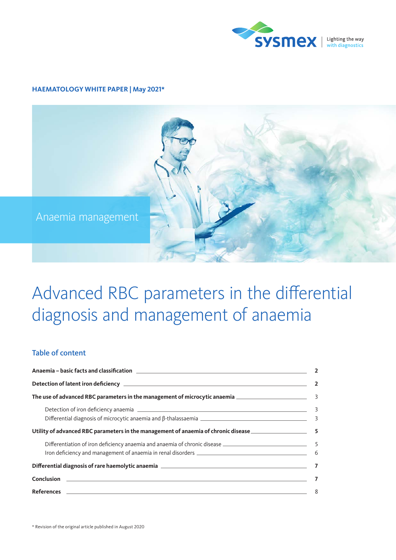

## **HAEMATOLOGY WHITE PAPER | May 2021\***



# Advanced RBC parameters in the differential diagnosis and management of anaemia

# Table of content

| Utility of advanced RBC parameters in the management of anaemia of chronic disease ___________________________5                                                                                                                |  |  |  |
|--------------------------------------------------------------------------------------------------------------------------------------------------------------------------------------------------------------------------------|--|--|--|
|                                                                                                                                                                                                                                |  |  |  |
| Iron deficiency and management of anaemia in renal disorders [19] [2012] [2013] [2013] [2013] [2014] [2014] [3014] [3014] [3014] [3014] [3014] [3014] [3014] [3014] [3014] [3014] [3014] [3014] [3014] [3014] [3014] [3014] [3 |  |  |  |
|                                                                                                                                                                                                                                |  |  |  |
|                                                                                                                                                                                                                                |  |  |  |
|                                                                                                                                                                                                                                |  |  |  |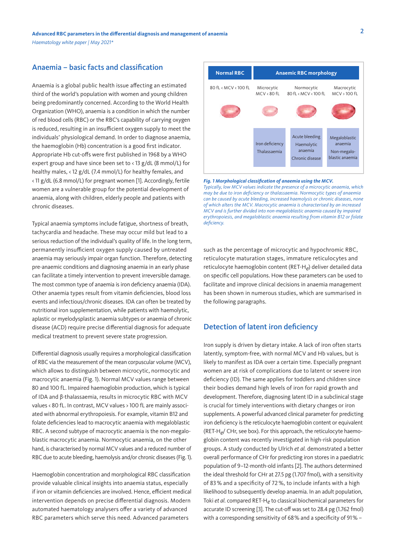## <span id="page-1-0"></span>Anaemia – basic facts and classification

Anaemia is a global public health issue affecting an estimated third of the world's population with women and young children being predominantly concerned. According to the World Health Organization (WHO), anaemia is a condition in which the number of red blood cells (RBC) or the RBC's capability of carrying oxygen is reduced, resulting in an insufficient oxygen supply to meet the individuals' physiological demand. In order to diagnose anaemia, the haemoglobin (Hb) concentration is a good first indicator. Appropriate Hb cut-offs were first published in 1968 by a WHO expert group and have since been set to < 13 g/dL (8 mmol/L) for healthy males, < 12 g/dL (7.4 mmol/L) for healthy females, and < 11 g/dL (6.8 mmol/L) for pregnant women [1]. Accordingly, fertile women are a vulnerable group for the potential development of anaemia, along with children, elderly people and patients with chronic diseases.

Typical anaemia symptoms include fatigue, shortness of breath, tachycardia and headache. These may occur mild but lead to a serious reduction of the individual's quality of life. In the long term, permanently insufficient oxygen supply caused by untreated anaemia may seriously impair organ function. Therefore, detecting pre-anaemic conditions and diagnosing anaemia in an early phase can facilitate a timely intervention to prevent irreversible damage. The most common type of anaemia is iron deficiency anaemia (IDA). Other anaemia types result from vitamin deficiencies, blood loss events and infectious/chronic diseases. IDA can often be treated by nutritional iron supplementation, while patients with haemolytic, aplastic or myelodysplastic anaemia subtypes or anaemia of chronic disease (ACD) require precise differential diagnosis for adequate medical treatment to prevent severe state progression.

Differential diagnosis usually requires a morphological classification of RBC via the measurement of the mean corpuscular volume (MCV), which allows to distinguish between microcytic, normocytic and macrocytic anaemia (Fig. 1). Normal MCV values range between 80 and 100 fL. Impaired haemoglobin production, which is typical of IDA and β-thalassaemia, results in microcytic RBC with MCV values < 80 fL. In contrast, MCV values > 100 fL are mainly associated with abnormal erythropoiesis. For example, vitamin B12 and folate deficiencies lead to macrocytic anaemia with megaloblastic RBC. A second subtype of macrocytic anaemia is the non-megaloblastic macrocytic anaemia. Normocytic anaemia, on the other hand, is characterised by normal MCV values and a reduced number of RBC due to acute bleeding, haemolysis and/or chronic diseases (Fig. 1).

Haemoglobin concentration and morphological RBC classification provide valuable clinical insights into anaemia status, especially if iron or vitamin deficiencies are involved. Hence, efficient medical intervention depends on precise differential diagnosis. Modern automated haematology analysers offer a variety of advanced RBC parameters which serve this need. Advanced parameters



*Fig. 1 Morphological classification of anaemia using the MCV. Typically, low MCV values indicate the presence of a microcytic anaemia, which may be due to iron deficiency or thalassaemia. Normocytic types of anaemia can be caused by acute bleeding, increased haemolysis or chronic diseases, none of which alters the MCV. Macrocytic anaemia is characterised by an increased MCV and is further divided into non-megaloblastic anaemia caused by impaired erythropoiesis, and megaloblastic anaemia resulting from vitamin B12 or folate deficiency.*

such as the percentage of microcytic and hypochromic RBC, reticulocyte maturation stages, immature reticulocytes and reticulocyte haemoglobin content (RET-H*e*) deliver detailed data on specific cell populations. How these parameters can be used to facilitate and improve clinical decisions in anaemia management has been shown in numerous studies, which are summarised in the following paragraphs.

## Detection of latent iron deficiency

Iron supply is driven by dietary intake. A lack of iron often starts latently, symptom-free, with normal MCV and Hb values, but is likely to manifest as IDA over a certain time. Especially pregnant women are at risk of complications due to latent or severe iron deficiency (ID). The same applies for toddlers and children since their bodies demand high levels of iron for rapid growth and development. Therefore, diagnosing latent ID in a subclinical stage is crucial for timely interventions with dietary changes or iron supplements. A powerful advanced clinical parameter for predicting iron deficiency is the reticulocyte haemoglobin content or equivalent (RET-H*e*/ CHr, see box). For this approach, the reticulocyte haemoglobin content was recently investigated in high-risk population groups. A study conducted by Ulrich *et al.* demonstrated a better overall performance of CHr for predicting iron stores in a paediatric population of 9–12-month-old infants [2]. The authors determined the ideal threshold for CHr at 27.5 pg (1.707 fmol), with a sensitivity of 83 % and a specificity of 72 %, to include infants with a high likelihood to subsequently develop anaemia. In an adult population, Toki *et al.* compared RET-H*e* to classical biochemical parameters for accurate ID screening [3]. The cut-off was set to 28.4 pg (1.762 fmol) with a corresponding sensitivity of 68% and a specificity of 91% –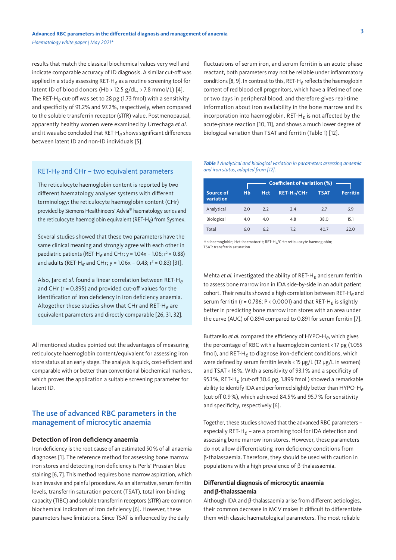<span id="page-2-0"></span>results that match the classical biochemical values very well and indicate comparable accuracy of ID diagnosis. A similar cut-off was applied in a study assessing RET-H*e* as a routine screening tool for latent ID of blood donors (Hb > 12.5 g/dL, > 7.8 mmol/L) [4]. The RET-H*e* cut-off was set to 28 pg (1.73 fmol) with a sensitivity and specificity of 91.2% and 97.2%, respectively, when compared to the soluble transferrin receptor (sTfR) value. Postmenopausal, apparently healthy women were examined by Urrechaga *et al.* and it was also concluded that RET-H*e* shows significant differences between latent ID and non-ID individuals [5].

RET-H*e* and CHr – two equivalent parameters

The reticulocyte haemoglobin content is reported by two different haematology analyser systems with different terminology: the reticulocyte haemoglobin content (CHr) provided by Siemens Healthineers' Advia® haematology series and the reticulocyte haemoglobin equivalent (RET-H*e*) from Sysmex.

Several studies showed that these two parameters have the same clinical meaning and strongly agree with each other in paediatric patients (RET-H<sub>e</sub> and CHr; y = 1.04x – 1.06; r<sup>2</sup> = 0.88) and adults (RET-H<sub>e</sub> and CHr; y = 1.06x – 0.43; r<sup>2</sup> = 0.83) [31].

Also, Jarc *et al.* found a linear correlation between RET-H*e* and CHr (r = 0.895) and provided cut-off values for the identification of iron deficiency in iron deficiency anaemia. Altogether these studies show that CHr and RET-H*e* are equivalent parameters and directly comparable [26, 31, 32].

All mentioned studies pointed out the advantages of measuring reticulocyte haemoglobin content/equivalent for assessing iron store status at an early stage. The analysis is quick, cost-efficient and comparable with or better than conventional biochemical markers, which proves the application a suitable screening parameter for latent ID.

# The use of advanced RBC parameters in the management of microcytic anaemia

#### **Detection of iron deficiency anaemia**

Iron deficiency is the root cause of an estimated 50% of all anaemia diagnoses [1]. The reference method for assessing bone marrow iron stores and detecting iron deficiency is Perls' Prussian blue staining [6, 7]. This method requires bone marrow aspiration, which is an invasive and painful procedure. As an alternative, serum ferritin levels, transferrin saturation percent (TSAT), total iron binding capacity (TIBC) and soluble transferrin receptors (sTfR) are common biochemical indicators of iron deficiency [6]. However, these parameters have limitations. Since TSAT is influenced by the daily

fluctuations of serum iron, and serum ferritin is an acute-phase reactant, both parameters may not be reliable under inflammatory conditions [8, 9]. In contrast to this, RET-H*e* reflects the haemoglobin content of red blood cell progenitors, which have a lifetime of one or two days in peripheral blood, and therefore gives real-time information about iron availability in the bone marrow and its incorporation into haemoglobin. RET-H*e* is not affected by the acute-phase reaction [10, 11], and shows a much lower degree of biological variation than TSAT and ferritin (Table 1) [12].

#### *Table 1 Analytical and biological variation in parameters assessing anaemia and iron status, adapted from [12].*

|                        | <b>Coefficient of variation (%)</b> |            |                         |             |                 |
|------------------------|-------------------------------------|------------|-------------------------|-------------|-----------------|
| Source of<br>variation | Hb                                  | <b>Hct</b> | RET-H <sub>e</sub> /CHr | <b>TSAT</b> | <b>Ferritin</b> |
| Analytical             | 2.0                                 | 2.2        | 2.4                     | 2.7         | 6.9             |
| Biological             | 4.0                                 | 4.0        | 4.8                     | 38.0        | 15.1            |
| Total                  | 6.0                                 | 6.2        | 7.2                     | 40.7        | 22.0            |

Hb: haemoglobin; Hct: haematocrit; RET-H*e*/CHr: reticulocyte haemoglobin; TSAT: transferrin saturation

Mehta *et al.* investigated the ability of RET-H*e* and serum ferritin to assess bone marrow iron in IDA side-by-side in an adult patient cohort. Their results showed a high correlation between RET-H*e* and serum ferritin (r = 0.786; P < 0.0001) and that RET-H*e* is slightly better in predicting bone marrow iron stores with an area under the curve (AUC) of 0.894 compared to 0.891 for serum ferritin [7].

Buttarello *et al.* compared the efficiency of HYPO-H*e*, which gives the percentage of RBC with a haemoglobin content < 17 pg (1.055 fmol), and RET-H*e* to diagnose iron-deficient conditions, which were defined by serum ferritin levels < 15 µg/L (12 µg/L in women) and TSAT < 16%. With a sensitivity of 93.1% and a specificity of 95.1%, RET-H*e* (cut-off 30.6 pg, 1.899 fmol ) showed a remarkable ability to identify IDA and performed slightly better than HYPO-H*e* (cut-off 0.9%), which achieved 84.5% and 95.7% for sensitivity and specificity, respectively [6].

Together, these studies showed that the advanced RBC parameters – especially RET-H*e* – are a promising tool for IDA detection and assessing bone marrow iron stores. However, these parameters do not allow differentiating iron deficiency conditions from β-thalassaemia. Therefore, they should be used with caution in populations with a high prevalence of β-thalassaemia.

### **Differential diagnosis of microcytic anaemia and β-thalassaemia**

Although IDA and β-thalassaemia arise from different aetiologies, their common decrease in MCV makes it difficult to differentiate them with classic haematological parameters. The most reliable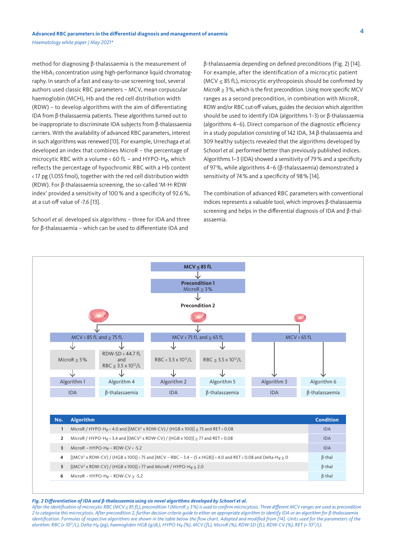*Haematology white paper | May 2021\**

method for diagnosing β-thalassaemia is the measurement of the  $HbA_2$  concentration using high-performance liquid chromatography. In search of a fast and easy-to-use screening tool, several authors used classic RBC parameters – MCV, mean corpuscular haemoglobin (MCH), Hb and the red cell distribution width (RDW) – to develop algorithms with the aim of differentiating IDA from β-thalassaemia patients. These algorithms turned out to be inappropriate to discriminate IDA subjects from β-thalassaemia carriers. With the availability of advanced RBC parameters, interest in such algorithms was renewed [13]. For example, Urrechaga *et al.* developed an index that combines MicroR – the percentage of microcytic RBC with a volume < 60 fL – and HYPO-H*e*, which reflects the percentage of hypochromic RBC with a Hb content < 17 pg (1.055 fmol), together with the red cell distribution width (RDW). For β-thalassaemia screening, the so-called 'M-H-RDW index' provided a sensitivity of 100% and a specificity of 92.6%, at a cut-off value of -7.6 [13].

Schoorl *et al.* developed six algorithms – three for IDA and three for β-thalassaemia – which can be used to differentiate IDA and

β-thalassaemia depending on defined preconditions (Fig. 2) [14]. For example, after the identification of a microcytic patient (MCV  $\leq$  85 fL), microcytic erythropoiesis should be confirmed by MicroR > 3%, which is the first precondition. Using more specific MCV ranges as a second precondition, in combination with MicroR, RDW and/or RBC cut-off values, guides the decision which algorithm should be used to identify IDA (algorithms 1–3) or β-thalassaemia (algorithms 4–6). Direct comparison of the diagnostic efficiency in a study population consisting of 142 IDA, 34 β-thalassaemia and 309 healthy subjects revealed that the algorithms developed by Schoorl *et al.* performed better than previously published indices. Algorithms 1–3 (IDA) showed a sensitivity of 79% and a specificity of 97%, while algorithms 4–6 (β-thalassaemia) demonstrated a sensitivity of 74% and a specificity of 98% [14].

The combination of advanced RBC parameters with conventional indices represents a valuable tool, which improves β-thalassaemia screening and helps in the differential diagnosis of IDA and β-thalassaemia.



#### *Fig. 2 Differentiation of IDA and β-thalassaemia using six novel algorithms developed by Schoorl et al.*

*After the identification of microcytic RBC (MCV ≤ 85 fL), precondition 1 (MicroR ≥ 3%) is used to confirm microcytosis. Three different MCV ranges are used as precondition 2 to categorise this microcytosis. After precondition 2, further decision criteria guide to either an appropriate algorithm to identify IDA or an algorithm for β-thalassaemia identification. Formulas of respective algorithms are shown in the table below the flow chart. Adapted and modified from [14]. Units used for the parameters of the alorithm: RBC (× 1012/L), Delta-He (pg), haemoglobin HGB (g/dL), HYPO-He (%), MCV (fL), MicroR (%), RDW-SD (fL), RDW-CV (%), RET (× 1012/L).*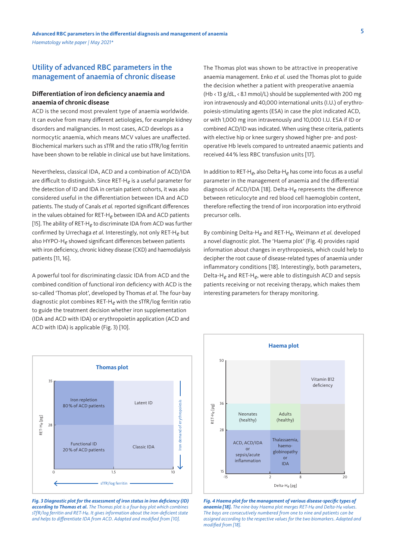## <span id="page-4-0"></span>Utility of advanced RBC parameters in the management of anaemia of chronic disease

#### **Differentiation of iron deficiency anaemia and anaemia of chronic disease**

ACD is the second most prevalent type of anaemia worldwide. It can evolve from many different aetiologies, for example kidney disorders and malignancies. In most cases, ACD develops as a normocytic anaemia, which means MCV values are unaffected. Biochemical markers such as sTfR and the ratio sTfR/log ferritin have been shown to be reliable in clinical use but have limitations.

Nevertheless, classical IDA, ACD and a combination of ACD/IDA are difficult to distinguish. Since RET-H*e* is a useful parameter for the detection of ID and IDA in certain patient cohorts, it was also considered useful in the differentiation between IDA and ACD patients. The study of Canals *et al.* reported significant differences in the values obtained for RET-H*e* between IDA and ACD patients [15]. The ability of RET-H*e* to discriminate IDA from ACD was further confirmed by Urrechaga *et al.* Interestingly, not only RET-H*e* but also HYPO-H*e* showed significant differences between patients with iron deficiency, chronic kidney disease (CKD) and haemodialysis patients [11, 16].

A powerful tool for discriminating classic IDA from ACD and the combined condition of functional iron deficiency with ACD is the so-called 'Thomas plot', developed by Thomas *et al.* The four-bay diagnostic plot combines RET-H*e* with the sTfR/log ferritin ratio to guide the treatment decision whether iron supplementation (IDA and ACD with IDA) or erythropoietin application (ACD and ACD with IDA) is applicable (Fig. 3) [10].

The Thomas plot was shown to be attractive in preoperative anaemia management. Enko *et al.* used the Thomas plot to guide the decision whether a patient with preoperative anaemia (Hb < 13 g/dL, < 8.1 mmol/L) should be supplemented with 200 mg iron intravenously and 40,000 international units (I.U.) of erythropoiesis-stimulating agents (ESA) in case the plot indicated ACD, or with 1,000 mg iron intravenously and 10,000 I.U. ESA if ID or combined ACD/ID was indicated. When using these criteria, patients with elective hip or knee surgery showed higher pre- and postoperative Hb levels compared to untreated anaemic patients and received 44% less RBC transfusion units [17].

In addition to RET-H*e*, also Delta-H*e* has come into focus as a useful parameter in the management of anaemia and the differential diagnosis of ACD/IDA [18]. Delta-H*e* represents the difference between reticulocyte and red blood cell haemoglobin content, therefore reflecting the trend of iron incorporation into erythroid precursor cells.

By combining Delta-H*e* and RET-H*e*, Weimann *et al.* developed a novel diagnostic plot. The 'Haema plot' (Fig. 4) provides rapid information about changes in erythropoiesis, which could help to decipher the root cause of disease-related types of anaemia under inflammatory conditions [18]. Interestingly, both parameters, Delta-H*e* and RET-H*e*, were able to distinguish ACD and sepsis patients receiving or not receiving therapy, which makes them interesting parameters for therapy monitoring.



*according to Thomas et al. The Thomas plot is a four-bay plot which combines sTfR/log ferritin and RET-He. It gives information about the iron-deficient state and helps to differentiate IDA from ACD. Adapted and modified from [10].*



*Fig. 4 Haema plot for the management of various disease-specific types of anaemia [18]. The nine-bay Haema plot merges RET-He and Delta-He values. The bays are consecutively numbered from one to nine and patients can be assigned according to the respective values for the two biomarkers. Adapted and modified from [18].*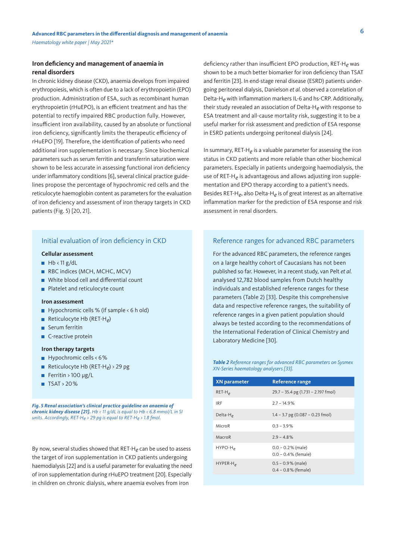#### <span id="page-5-0"></span>**Iron deficiency and management of anaemia in renal disorders**

In chronic kidney disease (CKD), anaemia develops from impaired erythropoiesis, which is often due to a lack of erythropoietin (EPO) production. Administration of ESA, such as recombinant human erythropoietin (rHuEPO), is an efficient treatment and has the potential to rectify impaired RBC production fully. However, insufficient iron availability, caused by an absolute or functional iron deficiency, significantly limits the therapeutic efficiency of rHuEPO [19]. Therefore, the identification of patients who need additional iron supplementation is necessary. Since biochemical parameters such as serum ferritin and transferrin saturation were shown to be less accurate in assessing functional iron deficiency under inflammatory conditions [6], several clinical practice guidelines propose the percentage of hypochromic red cells and the reticulocyte haemoglobin content as parameters for the evaluation of iron deficiency and assessment of iron therapy targets in CKD patients (Fig. 5) [20, 21].

## Initial evaluation of iron deficiency in CKD

#### **Cellular assessment**

- $Hb < 11 g/dL$
- RBC indices (MCH, MCHC, MCV)
- White blood cell and differential count
- **Platelet and reticulocyte count**

#### **Iron assessment**

- Hypochromic cells % (if sample  $\leq 6$  h old)
- Reticulocyte Hb (RET-H<sub>e</sub>)
- Serum ferritin
- C-reactive protein

#### **Iron therapy targets**

- $\blacksquare$  Hypochromic cells < 6%
- Reticulocyte Hb (RET-H<sub>e</sub>) > 29 pg
- Ferritin >  $100 \mu g/L$
- $\blacksquare$  TSAT > 20%

*Fig. 5 Renal association's clinical practice guideline on anaemia of chronic kidney disease [21]. Hb < 11 g/dL is equal to Hb < 6.8 mmol/L in SI units. Accordingly, RET-He > 29 pg is equal to RET-He > 1.8 fmol.*

By now, several studies showed that RET-H*e* can be used to assess the target of iron supplementation in CKD patients undergoing haemodialysis [22] and is a useful parameter for evaluating the need of iron supplementation during rHuEPO treatment [20]. Especially in children on chronic dialysis, where anaemia evolves from iron

deficiency rather than insufficient EPO production, RET-H*e* was shown to be a much better biomarker for iron deficiency than TSAT and ferritin [23]. In end-stage renal disease (ESRD) patients undergoing peritoneal dialysis, Danielson *et al.* observed a correlation of Delta-H*e* with inflammation markers IL-6 and hs-CRP. Additionally, their study revealed an association of Delta-H*e* with response to ESA treatment and all-cause mortality risk, suggesting it to be a useful marker for risk assessment and prediction of ESA response in ESRD patients undergoing peritoneal dialysis [24].

In summary, RET-H*e* is a valuable parameter for assessing the iron status in CKD patients and more reliable than other biochemical parameters. Especially in patients undergoing haemodialysis, the use of RET-H*e* is advantageous and allows adjusting iron supplementation and EPO therapy according to a patient's needs. Besides RET-H*e*, also Delta-H*e* is of great interest as an alternative inflammation marker for the prediction of ESA response and risk assessment in renal disorders.

#### Reference ranges for advanced RBC parameters

For the advanced RBC parameters, the reference ranges on a large healthy cohort of Caucasians has not been published so far. However, in a recent study, van Pelt *et al.* analysed 12,782 blood samples from Dutch healthy individuals and established reference ranges for these parameters (Table 2) [33]. Despite this comprehensive data and respective reference ranges, the suitability of reference ranges in a given patient population should always be tested according to the recommendations of the International Federation of Clinical Chemistry and Laboratory Medicine [30].

*Table 2 Reference ranges for advanced RBC parameters on Sysmex XN-Series haematology analysers [33].*

| <b>XN</b> parameter  | <b>Reference range</b>                         |
|----------------------|------------------------------------------------|
| $RET-H$              | $29.7 - 35.4$ pg (1.731 – 2.197 fmol)          |
| <b>IRF</b>           | $2.7 - 14.9%$                                  |
| Delta-H <sub>e</sub> | $1.4 - 3.7$ pg (0.087 – 0.23 fmol)             |
| MicroR               | $0.3 - 3.9\%$                                  |
| MacroR               | $29 - 48%$                                     |
| $HYPO-H_{\rho}$      | $0.0 - 0.2\%$ (male)<br>$0.0 - 0.4$ % (female) |
| $HYPER-Ho$           | $0.5 - 0.9\%$ (male)<br>$0.4 - 0.8\%$ (female) |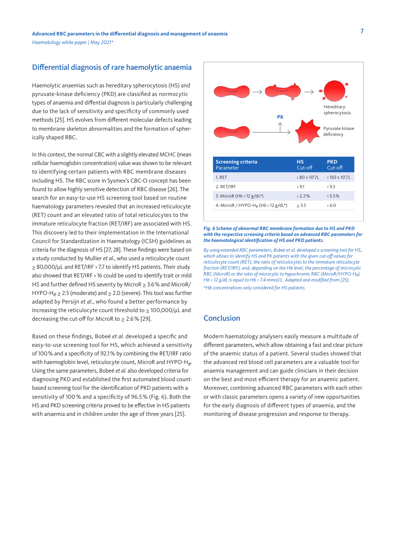# <span id="page-6-0"></span>Differential diagnosis of rare haemolytic anaemia

Haemolytic anaemias such as hereditary spherocytosis (HS) and pyruvate-kinase deficiency (PKD) are classified as normocytic types of anaemia and diffential diagnosis is particularly challenging due to the lack of sensitivity and specificity of commonly used methods [25]. HS evolves from different molecular defects leading to membrane skeleton abnormalities and the formation of spherically shaped RBC.

In this context, the normal CBC with a slightly elevated MCHC (mean cellular haemoglobin concentration) value was shown to be relevant to identifying certain patients with RBC membrane diseases including HS. The RBC score in Sysmex's CBC-O concept has been found to allow highly sensitive detection of RBC disease [26]. The search for an easy-to-use HS screening tool based on routine haematology parameters revealed that an increased reticulocyte (RET) count and an elevated ratio of total reticulocytes to the immature reticulocyte fraction (RET/IRF) are associated with HS. This discovery led to their implementation in the International Council for Standardization in Haematology (ICSH) guidelines as criteria for the diagnosis of HS [27, 28]. These findings were based on a study conducted by Mullier *et al.*, who used a reticulocyte count ≥ 80,000/µL and RET/IRF > 7.7 to identify HS patients. Their study also showed that RET/IRF > 16 could be used to identify trait or mild HS and further defined HS severity by MicroR  $\geq$  3.6% and MicroR/ HYPO-H*e* ≥ 2.5 (moderate) and ≥ 2.0 (severe). This tool was further adapted by Persijn *et al.*, who found a better performance by increasing the reticulocyte count threshold to ≥ 100,000/µL and decreasing the cut-off for MicroR to  $\geq 2.6\%$  [29].

Based on these findings, Bobeé *et al.* developed a specific and easy-to-use screening tool for HS, which achieved a sensitivity of 100% and a specificity of 92.1% by combining the RET/IRF ratio with haemoglobin level, reticulocyte count, MicroR and HYPO-H*e*. Using the same parameters, Bobeé *et al.* also developed criteria for diagnosing PKD and established the first automated blood countbased screening tool for the identification of PKD patients with a sensitivity of 100 % and a specificity of 96.5 % (Fig. 6). Both the HS and PKD screening criteria proved to be effective in HS patients with anaemia and in children under the age of three years [25].



#### *Fig. 6 Scheme of abnormal RBC membrane formation due to HS and PKD with the respective screening criteria based on advanced RBC parameters for the haematological identification of HS and PKD patients.*

*By using extended RBC parameters, Bobee et al. developed a screening tool for HS, which allows to identify HS and PK patients with the given cut-off values for reticulocyte count (RET), the ratio of reticulocytes to the immature reticulocyte fraction (RET/IRF), and, depending on the Hb level, the percentage of microcytic RBC (MicroR) or the ratio of microcytic to hypochromic RBC (MicroR/HYPO-He). Hb < 12 g/dL is equal to Hb < 7.4 mmol/L. Adapted and modified from [25]. \*Hb concentrations only considered for HS patients.*

# **Conclusion**

Modern haematology analysers easily measure a multitude of different parameters, which allow obtaining a fast and clear picture of the anaemic status of a patient. Several studies showed that the advanced red blood cell parameters are a valuable tool for anaemia management and can guide clinicians in their decision on the best and most efficient therapy for an anaemic patient. Moreover, combining advanced RBC parameters with each other or with classic parameters opens a variety of new opportunities for the early diagnosis of different types of anaemia, and the monitoring of disease progression and response to therapy.